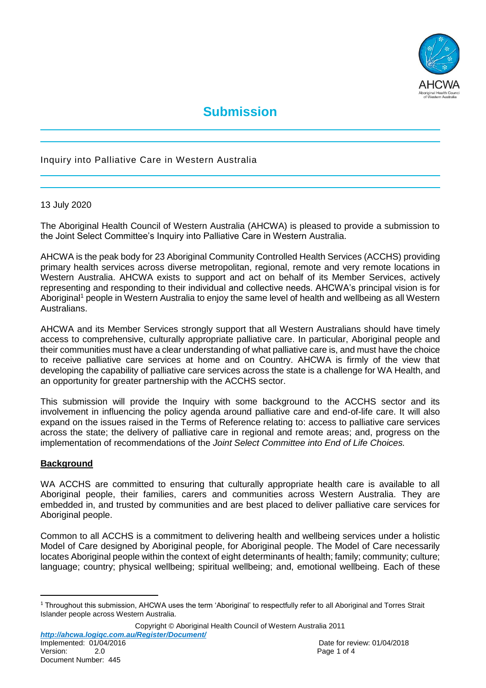

# **Submission**

# Inquiry into Palliative Care in Western Australia

#### 13 July 2020

The Aboriginal Health Council of Western Australia (AHCWA) is pleased to provide a submission to the Joint Select Committee's Inquiry into Palliative Care in Western Australia.

AHCWA is the peak body for 23 Aboriginal Community Controlled Health Services (ACCHS) providing primary health services across diverse metropolitan, regional, remote and very remote locations in Western Australia. AHCWA exists to support and act on behalf of its Member Services, actively representing and responding to their individual and collective needs. AHCWA's principal vision is for Aboriginal<sup>1</sup> people in Western Australia to enjoy the same level of health and wellbeing as all Western Australians.

AHCWA and its Member Services strongly support that all Western Australians should have timely access to comprehensive, culturally appropriate palliative care. In particular, Aboriginal people and their communities must have a clear understanding of what palliative care is, and must have the choice to receive palliative care services at home and on Country. AHCWA is firmly of the view that developing the capability of palliative care services across the state is a challenge for WA Health, and an opportunity for greater partnership with the ACCHS sector.

This submission will provide the Inquiry with some background to the ACCHS sector and its involvement in influencing the policy agenda around palliative care and end-of-life care. It will also expand on the issues raised in the Terms of Reference relating to: access to palliative care services across the state; the delivery of palliative care in regional and remote areas; and, progress on the implementation of recommendations of the *Joint Select Committee into End of Life Choices.*

#### **Background**

WA ACCHS are committed to ensuring that culturally appropriate health care is available to all Aboriginal people, their families, carers and communities across Western Australia. They are embedded in, and trusted by communities and are best placed to deliver palliative care services for Aboriginal people.

Common to all ACCHS is a commitment to delivering health and wellbeing services under a holistic Model of Care designed by Aboriginal people, for Aboriginal people. The Model of Care necessarily locates Aboriginal people within the context of eight determinants of health; family; community; culture; language; country; physical wellbeing; spiritual wellbeing; and, emotional wellbeing. Each of these

Copyright © Aboriginal Health Council of Western Australia 2011 *http://ahcwa.logiqc.com.au/Register/Document/* Version: 2.0 2.0 Page 1 of 4

 $\overline{a}$ 

<sup>&</sup>lt;sup>1</sup> Throughout this submission, AHCWA uses the term 'Aboriginal' to respectfully refer to all Aboriginal and Torres Strait Islander people across Western Australia.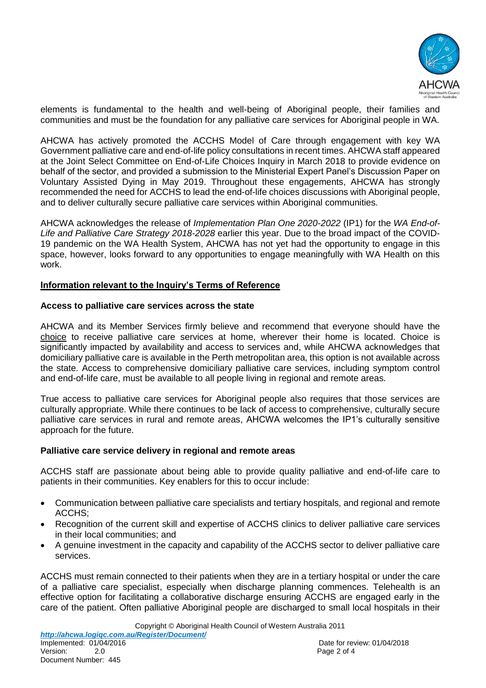

elements is fundamental to the health and well-being of Aboriginal people, their families and communities and must be the foundation for any palliative care services for Aboriginal people in WA.

AHCWA has actively promoted the ACCHS Model of Care through engagement with key WA Government palliative care and end-of-life policy consultations in recent times. AHCWA staff appeared at the Joint Select Committee on End-of-Life Choices Inquiry in March 2018 to provide evidence on behalf of the sector, and provided a submission to the Ministerial Expert Panel's Discussion Paper on Voluntary Assisted Dying in May 2019. Throughout these engagements, AHCWA has strongly recommended the need for ACCHS to lead the end-of-life choices discussions with Aboriginal people, and to deliver culturally secure palliative care services within Aboriginal communities.

AHCWA acknowledges the release of *Implementation Plan One 2020-2022* (IP1) for the *WA End-of-Life and Palliative Care Strategy 2018-2028* earlier this year. Due to the broad impact of the COVID-19 pandemic on the WA Health System, AHCWA has not yet had the opportunity to engage in this space, however, looks forward to any opportunities to engage meaningfully with WA Health on this work.

#### **Information relevant to the Inquiry's Terms of Reference**

#### **Access to palliative care services across the state**

AHCWA and its Member Services firmly believe and recommend that everyone should have the choice to receive palliative care services at home, wherever their home is located. Choice is significantly impacted by availability and access to services and, while AHCWA acknowledges that domiciliary palliative care is available in the Perth metropolitan area, this option is not available across the state. Access to comprehensive domiciliary palliative care services, including symptom control and end-of-life care, must be available to all people living in regional and remote areas.

True access to palliative care services for Aboriginal people also requires that those services are culturally appropriate. While there continues to be lack of access to comprehensive, culturally secure palliative care services in rural and remote areas, AHCWA welcomes the IP1's culturally sensitive approach for the future.

#### **Palliative care service delivery in regional and remote areas**

ACCHS staff are passionate about being able to provide quality palliative and end-of-life care to patients in their communities. Key enablers for this to occur include:

- Communication between palliative care specialists and tertiary hospitals, and regional and remote ACCHS;
- Recognition of the current skill and expertise of ACCHS clinics to deliver palliative care services in their local communities; and
- A genuine investment in the capacity and capability of the ACCHS sector to deliver palliative care services.

ACCHS must remain connected to their patients when they are in a tertiary hospital or under the care of a palliative care specialist, especially when discharge planning commences. Telehealth is an effective option for facilitating a collaborative discharge ensuring ACCHS are engaged early in the care of the patient. Often palliative Aboriginal people are discharged to small local hospitals in their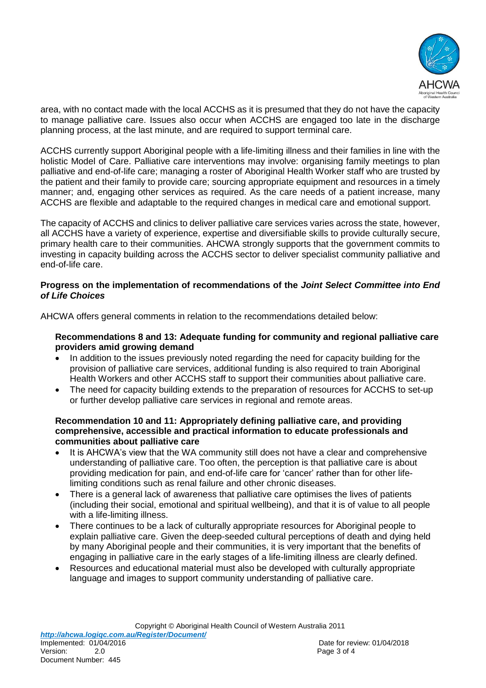

area, with no contact made with the local ACCHS as it is presumed that they do not have the capacity to manage palliative care. Issues also occur when ACCHS are engaged too late in the discharge planning process, at the last minute, and are required to support terminal care.

ACCHS currently support Aboriginal people with a life-limiting illness and their families in line with the holistic Model of Care. Palliative care interventions may involve: organising family meetings to plan palliative and end-of-life care; managing a roster of Aboriginal Health Worker staff who are trusted by the patient and their family to provide care; sourcing appropriate equipment and resources in a timely manner; and, engaging other services as required. As the care needs of a patient increase, many ACCHS are flexible and adaptable to the required changes in medical care and emotional support.

The capacity of ACCHS and clinics to deliver palliative care services varies across the state, however, all ACCHS have a variety of experience, expertise and diversifiable skills to provide culturally secure, primary health care to their communities. AHCWA strongly supports that the government commits to investing in capacity building across the ACCHS sector to deliver specialist community palliative and end-of-life care.

## **Progress on the implementation of recommendations of the** *Joint Select Committee into End of Life Choices*

AHCWA offers general comments in relation to the recommendations detailed below:

## **Recommendations 8 and 13: Adequate funding for community and regional palliative care providers amid growing demand**

- In addition to the issues previously noted regarding the need for capacity building for the provision of palliative care services, additional funding is also required to train Aboriginal Health Workers and other ACCHS staff to support their communities about palliative care.
- The need for capacity building extends to the preparation of resources for ACCHS to set-up or further develop palliative care services in regional and remote areas.

#### **Recommendation 10 and 11: Appropriately defining palliative care, and providing comprehensive, accessible and practical information to educate professionals and communities about palliative care**

- It is AHCWA's view that the WA community still does not have a clear and comprehensive understanding of palliative care. Too often, the perception is that palliative care is about providing medication for pain, and end-of-life care for 'cancer' rather than for other lifelimiting conditions such as renal failure and other chronic diseases.
- There is a general lack of awareness that palliative care optimises the lives of patients (including their social, emotional and spiritual wellbeing), and that it is of value to all people with a life-limiting illness.
- There continues to be a lack of culturally appropriate resources for Aboriginal people to explain palliative care. Given the deep-seeded cultural perceptions of death and dying held by many Aboriginal people and their communities, it is very important that the benefits of engaging in palliative care in the early stages of a life-limiting illness are clearly defined.
- Resources and educational material must also be developed with culturally appropriate language and images to support community understanding of palliative care.